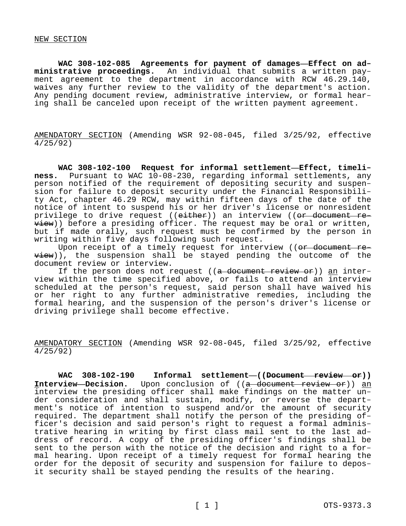**WAC 308-102-085 Agreements for payment of damages—Effect on administrative proceedings.** An individual that submits a written payment agreement to the department in accordance with RCW 46.29.140, waives any further review to the validity of the department's action. Any pending document review, administrative interview, or formal hearing shall be canceled upon receipt of the written payment agreement.

AMENDATORY SECTION (Amending WSR 92-08-045, filed 3/25/92, effective 4/25/92)

**WAC 308-102-100 Request for informal settlement—Effect, timeliness.** Pursuant to WAC 10-08-230, regarding informal settlements, any person notified of the requirement of depositing security and suspension for failure to deposit security under the Financial Responsibility Act, chapter 46.29 RCW, may within fifteen days of the date of the notice of intent to suspend his or her driver's license or nonresident privilege to drive request ((either)) an interview ((or document re- $\overline{view})$ ) before a presiding officer. The request may be oral or written, but if made orally, such request must be confirmed by the person in writing within five days following such request.

Upon receipt of a timely request for interview ((or document review)), the suspension shall be stayed pending the outcome of the document review or interview.

If the person does not request ( $(a$  document review or)) an interview within the time specified above, or fails to attend an interview scheduled at the person's request, said person shall have waived his or her right to any further administrative remedies, including the formal hearing, and the suspension of the person's driver's license or driving privilege shall become effective.

AMENDATORY SECTION (Amending WSR 92-08-045, filed 3/25/92, effective 4/25/92)

WAC 308-102-190 Informal settlement-((Document review or)) **Interview-Decision.** Upon conclusion of ((a document review or)) an interview the presiding officer shall make findings on the matter under consideration and shall sustain, modify, or reverse the department's notice of intention to suspend and/or the amount of security required. The department shall notify the person of the presiding officer's decision and said person's right to request a formal administrative hearing in writing by first class mail sent to the last address of record. A copy of the presiding officer's findings shall be sent to the person with the notice of the decision and right to a formal hearing. Upon receipt of a timely request for formal hearing the order for the deposit of security and suspension for failure to deposit security shall be stayed pending the results of the hearing.